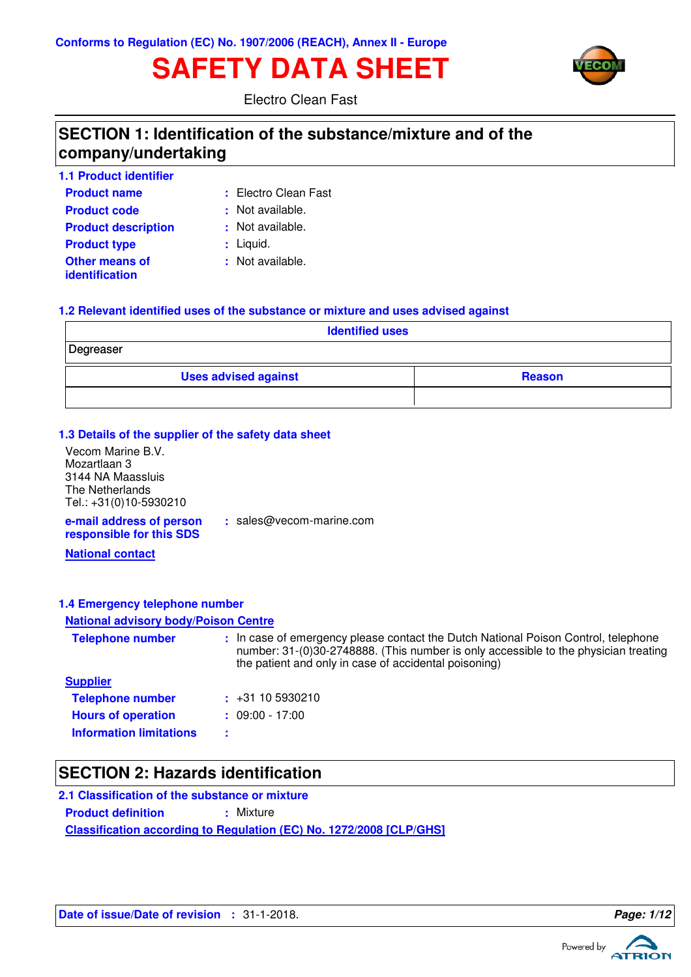# **SAFETY DATA SHEET**



Electro Clean Fast

# **SECTION 1: Identification of the substance/mixture and of the company/undertaking**

| <b>1.1 Product identifier</b>                  |                      |
|------------------------------------------------|----------------------|
| <b>Product name</b>                            | : Electro Clean Fast |
| <b>Product code</b>                            | : Not available.     |
| <b>Product description</b>                     | : Not available.     |
| <b>Product type</b>                            | $:$ Liquid.          |
| <b>Other means of</b><br><i>identification</i> | : Not available.     |

### **1.2 Relevant identified uses of the substance or mixture and uses advised against**

| <b>Identified uses</b>      |               |  |
|-----------------------------|---------------|--|
| Degreaser                   |               |  |
| <b>Uses advised against</b> | <b>Reason</b> |  |
|                             |               |  |

### **1.3 Details of the supplier of the safety data sheet**

Vecom Marine B.V. Mozartlaan 3 3144 NA Maassluis The Netherlands Tel.: +31(0)10-5930210

**e-mail address of person responsible for this SDS**

**:** sales@vecom-marine.com

**National contact**

## **1.4 Emergency telephone number**

### **National advisory body/Poison Centre**

| <b>Telephone number</b>        | : In case of emergency please contact the Dutch National Poison Control, telephone<br>number: 31-(0)30-2748888. (This number is only accessible to the physician treating<br>the patient and only in case of accidental poisoning) |
|--------------------------------|------------------------------------------------------------------------------------------------------------------------------------------------------------------------------------------------------------------------------------|
| <b>Supplier</b>                |                                                                                                                                                                                                                                    |
| <b>Telephone number</b>        | $\div$ +31 10 5930210                                                                                                                                                                                                              |
| <b>Hours of operation</b>      | $: 09:00 - 17:00$                                                                                                                                                                                                                  |
| <b>Information limitations</b> |                                                                                                                                                                                                                                    |

# **SECTION 2: Hazards identification**

**Classification according to Regulation (EC) No. 1272/2008 [CLP/GHS] 2.1 Classification of the substance or mixture Product definition : Mixture** 



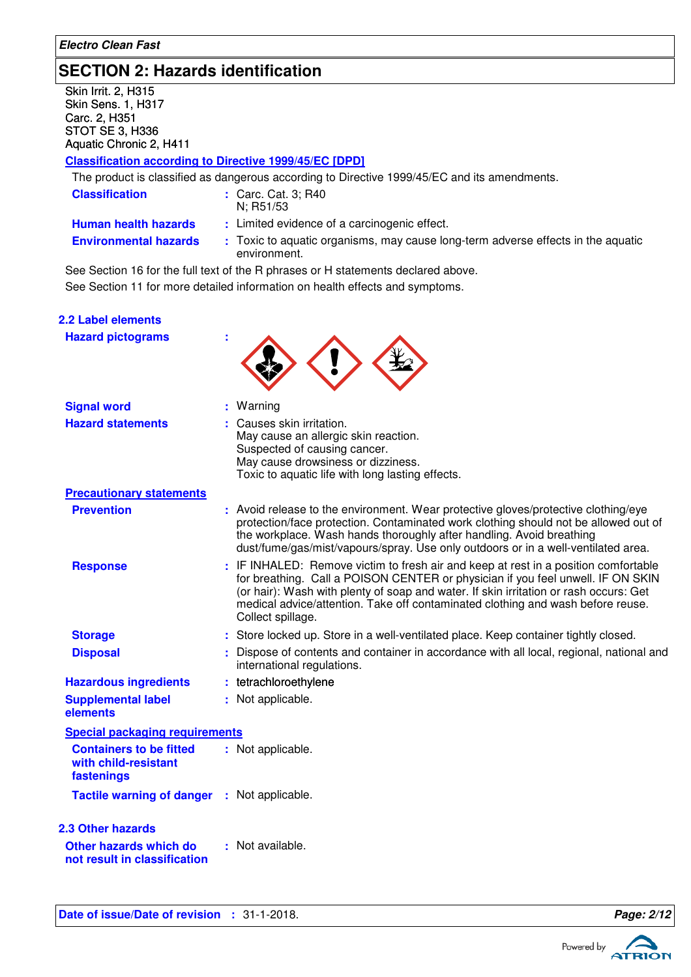# **SECTION 2: Hazards identification**

Skin Irrit. 2, H315 Skin Sens. 1, H317 Carc. 2, H351 STOT SE 3, H336 Aquatic Chronic 2, H411

### **Classification according to Directive 1999/45/EC [DPD]**

The product is classified as dangerous according to Directive 1999/45/EC and its amendments.

| <b>Classification</b>        | : Carc. Cat. 3; R40<br>N: R51/53                                                                 |
|------------------------------|--------------------------------------------------------------------------------------------------|
| <b>Human health hazards</b>  | : Limited evidence of a carcinogenic effect.                                                     |
| <b>Environmental hazards</b> | : Toxic to aquatic organisms, may cause long-term adverse effects in the aquatic<br>environment. |
|                              |                                                                                                  |

See Section 11 for more detailed information on health effects and symptoms. See Section 16 for the full text of the R phrases or H statements declared above.

| 2.2 Label elements<br><b>Hazard pictograms</b>                                     |                                                                                                                                                                                                                                                                                                                                                                         |
|------------------------------------------------------------------------------------|-------------------------------------------------------------------------------------------------------------------------------------------------------------------------------------------------------------------------------------------------------------------------------------------------------------------------------------------------------------------------|
| <b>Signal word</b>                                                                 | Warning                                                                                                                                                                                                                                                                                                                                                                 |
| <b>Hazard statements</b>                                                           | Causes skin irritation.<br>May cause an allergic skin reaction.<br>Suspected of causing cancer.<br>May cause drowsiness or dizziness.<br>Toxic to aquatic life with long lasting effects.                                                                                                                                                                               |
| <b>Precautionary statements</b>                                                    |                                                                                                                                                                                                                                                                                                                                                                         |
| <b>Prevention</b>                                                                  | : Avoid release to the environment. Wear protective gloves/protective clothing/eye<br>protection/face protection. Contaminated work clothing should not be allowed out of<br>the workplace. Wash hands thoroughly after handling. Avoid breathing<br>dust/fume/gas/mist/vapours/spray. Use only outdoors or in a well-ventilated area.                                  |
| <b>Response</b>                                                                    | : IF INHALED: Remove victim to fresh air and keep at rest in a position comfortable<br>for breathing. Call a POISON CENTER or physician if you feel unwell. IF ON SKIN<br>(or hair): Wash with plenty of soap and water. If skin irritation or rash occurs: Get<br>medical advice/attention. Take off contaminated clothing and wash before reuse.<br>Collect spillage. |
| <b>Storage</b>                                                                     | : Store locked up. Store in a well-ventilated place. Keep container tightly closed.                                                                                                                                                                                                                                                                                     |
| <b>Disposal</b>                                                                    | : Dispose of contents and container in accordance with all local, regional, national and<br>international regulations.                                                                                                                                                                                                                                                  |
| <b>Hazardous ingredients</b>                                                       | : tetrachloroethylene                                                                                                                                                                                                                                                                                                                                                   |
| <b>Supplemental label</b><br>elements                                              | : Not applicable.                                                                                                                                                                                                                                                                                                                                                       |
| <b>Special packaging requirements</b>                                              |                                                                                                                                                                                                                                                                                                                                                                         |
| <b>Containers to be fitted</b><br>with child-resistant<br>fastenings               | : Not applicable.                                                                                                                                                                                                                                                                                                                                                       |
| Tactile warning of danger : Not applicable.                                        |                                                                                                                                                                                                                                                                                                                                                                         |
| <b>2.3 Other hazards</b><br>Other hazards which do<br>not result in classification | : Not available.                                                                                                                                                                                                                                                                                                                                                        |

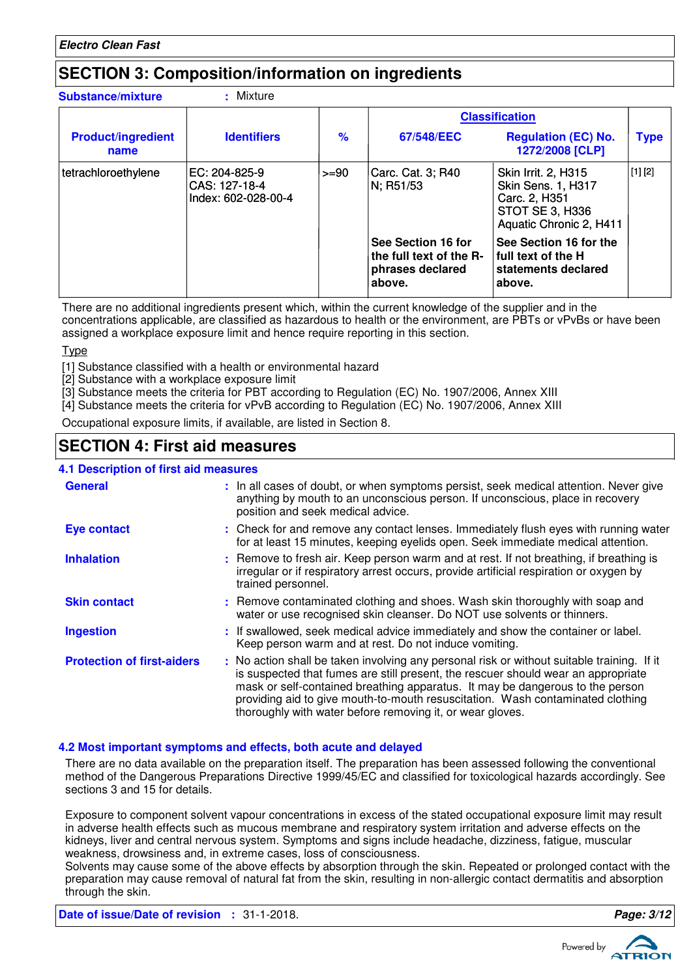# **SECTION 3: Composition/information on ingredients**

| <b>Substance/mixture</b>          | Mixture                                               |               |                                                                             |                                                                                                                 |             |
|-----------------------------------|-------------------------------------------------------|---------------|-----------------------------------------------------------------------------|-----------------------------------------------------------------------------------------------------------------|-------------|
|                                   |                                                       |               |                                                                             | <b>Classification</b>                                                                                           |             |
| <b>Product/ingredient</b><br>name | <b>Identifiers</b>                                    | $\frac{9}{6}$ | 67/548/EEC                                                                  | <b>Regulation (EC) No.</b><br>1272/2008 [CLP]                                                                   | <b>Type</b> |
| tetrachloroethylene               | EC: 204-825-9<br>CAS: 127-18-4<br>Index: 602-028-00-4 | $>= 90$       | Carc. Cat. 3; R40<br>N; R51/53                                              | <b>Skin Irrit. 2, H315</b><br>Skin Sens. 1, H317<br>Carc. 2, H351<br>STOT SE 3, H336<br>Aquatic Chronic 2, H411 | [1] [2]     |
|                                   |                                                       |               | See Section 16 for<br>the full text of the R-<br>phrases declared<br>above. | See Section 16 for the<br>I full text of the H<br>statements declared<br>above.                                 |             |

There are no additional ingredients present which, within the current knowledge of the supplier and in the concentrations applicable, are classified as hazardous to health or the environment, are PBTs or vPvBs or have been assigned a workplace exposure limit and hence require reporting in this section.

**T**<sub>vpe</sub>

[1] Substance classified with a health or environmental hazard

[2] Substance with a workplace exposure limit

[3] Substance meets the criteria for PBT according to Regulation (EC) No. 1907/2006, Annex XIII

[4] Substance meets the criteria for vPvB according to Regulation (EC) No. 1907/2006, Annex XIII

Occupational exposure limits, if available, are listed in Section 8.

# **SECTION 4: First aid measures**

### **4.1 Description of first aid measures**

| <b>.</b> Description of this call incasures |                                                                                                                                                                                                                                                                                                                                                                                                                 |
|---------------------------------------------|-----------------------------------------------------------------------------------------------------------------------------------------------------------------------------------------------------------------------------------------------------------------------------------------------------------------------------------------------------------------------------------------------------------------|
| <b>General</b>                              | : In all cases of doubt, or when symptoms persist, seek medical attention. Never give<br>anything by mouth to an unconscious person. If unconscious, place in recovery<br>position and seek medical advice.                                                                                                                                                                                                     |
| <b>Eye contact</b>                          | : Check for and remove any contact lenses. Immediately flush eyes with running water<br>for at least 15 minutes, keeping eyelids open. Seek immediate medical attention.                                                                                                                                                                                                                                        |
| <b>Inhalation</b>                           | : Remove to fresh air. Keep person warm and at rest. If not breathing, if breathing is<br>irregular or if respiratory arrest occurs, provide artificial respiration or oxygen by<br>trained personnel.                                                                                                                                                                                                          |
| <b>Skin contact</b>                         | : Remove contaminated clothing and shoes. Wash skin thoroughly with soap and<br>water or use recognised skin cleanser. Do NOT use solvents or thinners.                                                                                                                                                                                                                                                         |
| <b>Ingestion</b>                            | : If swallowed, seek medical advice immediately and show the container or label.<br>Keep person warm and at rest. Do not induce vomiting.                                                                                                                                                                                                                                                                       |
| <b>Protection of first-aiders</b>           | : No action shall be taken involving any personal risk or without suitable training. If it<br>is suspected that fumes are still present, the rescuer should wear an appropriate<br>mask or self-contained breathing apparatus. It may be dangerous to the person<br>providing aid to give mouth-to-mouth resuscitation. Wash contaminated clothing<br>thoroughly with water before removing it, or wear gloves. |

### **4.2 Most important symptoms and effects, both acute and delayed**

There are no data available on the preparation itself. The preparation has been assessed following the conventional method of the Dangerous Preparations Directive 1999/45/EC and classified for toxicological hazards accordingly. See sections 3 and 15 for details.

Exposure to component solvent vapour concentrations in excess of the stated occupational exposure limit may result in adverse health effects such as mucous membrane and respiratory system irritation and adverse effects on the kidneys, liver and central nervous system. Symptoms and signs include headache, dizziness, fatigue, muscular weakness, drowsiness and, in extreme cases, loss of consciousness.

Solvents may cause some of the above effects by absorption through the skin. Repeated or prolonged contact with the preparation may cause removal of natural fat from the skin, resulting in non-allergic contact dermatitis and absorption through the skin.

**Date of issue/Date of revision :** 31-1-2018. **Page: 3/12**

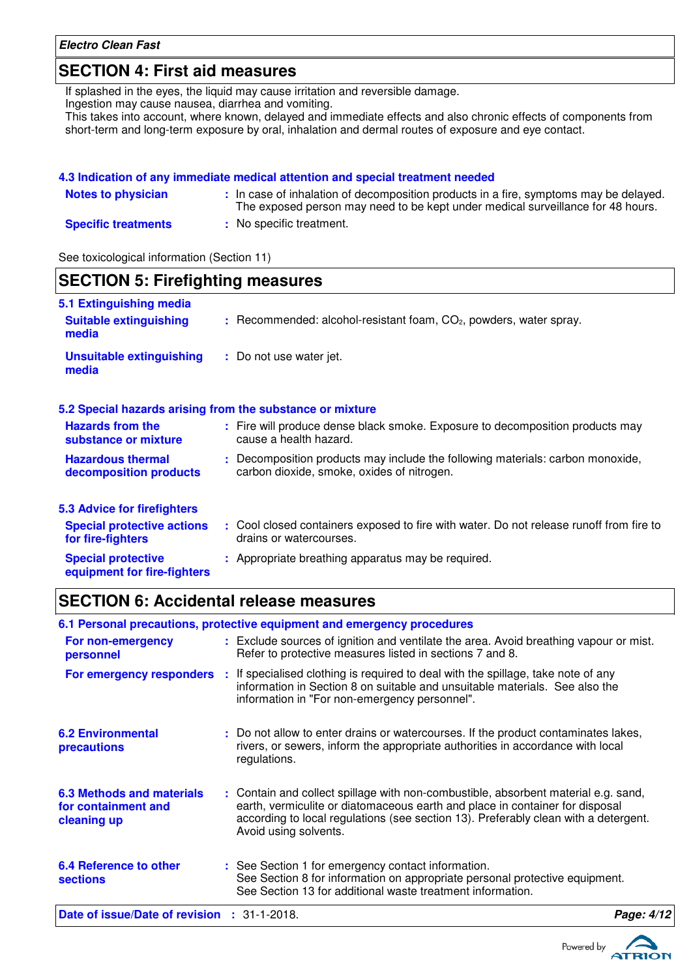# **SECTION 4: First aid measures**

If splashed in the eyes, the liquid may cause irritation and reversible damage.

Ingestion may cause nausea, diarrhea and vomiting.

This takes into account, where known, delayed and immediate effects and also chronic effects of components from short-term and long-term exposure by oral, inhalation and dermal routes of exposure and eye contact.

| 4.3 Indication of any immediate medical attention and special treatment needed |                                                                                                                                                                          |  |  |
|--------------------------------------------------------------------------------|--------------------------------------------------------------------------------------------------------------------------------------------------------------------------|--|--|
| <b>Notes to physician</b>                                                      | : In case of inhalation of decomposition products in a fire, symptoms may be delayed.<br>The exposed person may need to be kept under medical surveillance for 48 hours. |  |  |
| <b>Specific treatments</b>                                                     | : No specific treatment.                                                                                                                                                 |  |  |

See toxicological information (Section 11)

| <b>SECTION 5: Firefighting measures</b>                           |                                                                                                                              |  |
|-------------------------------------------------------------------|------------------------------------------------------------------------------------------------------------------------------|--|
| 5.1 Extinguishing media<br><b>Suitable extinguishing</b><br>media | $:$ Recommended: alcohol-resistant foam, $CO2$ , powders, water spray.                                                       |  |
| <b>Unsuitable extinguishing</b><br>media                          | : Do not use water jet.                                                                                                      |  |
|                                                                   | 5.2 Special hazards arising from the substance or mixture                                                                    |  |
| <b>Hazards from the</b><br>substance or mixture                   | : Fire will produce dense black smoke. Exposure to decomposition products may<br>cause a health hazard.                      |  |
| <b>Hazardous thermal</b><br>decomposition products                | : Decomposition products may include the following materials: carbon monoxide,<br>carbon dioxide, smoke, oxides of nitrogen. |  |
| <b>5.3 Advice for firefighters</b>                                |                                                                                                                              |  |
| <b>Special protective actions</b><br>for fire-fighters            | : Cool closed containers exposed to fire with water. Do not release runoff from fire to<br>drains or watercourses.           |  |
| <b>Special protective</b><br>equipment for fire-fighters          | : Appropriate breathing apparatus may be required.                                                                           |  |

# **SECTION 6: Accidental release measures**

|                                                                        | 6.1 Personal precautions, protective equipment and emergency procedures                                                                                                                                                                                                            |            |
|------------------------------------------------------------------------|------------------------------------------------------------------------------------------------------------------------------------------------------------------------------------------------------------------------------------------------------------------------------------|------------|
| For non-emergency<br>personnel                                         | : Exclude sources of ignition and ventilate the area. Avoid breathing vapour or mist.<br>Refer to protective measures listed in sections 7 and 8.                                                                                                                                  |            |
| For emergency responders :                                             | If specialised clothing is required to deal with the spillage, take note of any<br>information in Section 8 on suitable and unsuitable materials. See also the<br>information in "For non-emergency personnel".                                                                    |            |
| <b>6.2 Environmental</b><br>precautions                                | : Do not allow to enter drains or watercourses. If the product contaminates lakes,<br>rivers, or sewers, inform the appropriate authorities in accordance with local<br>regulations.                                                                                               |            |
| <b>6.3 Methods and materials</b><br>for containment and<br>cleaning up | : Contain and collect spillage with non-combustible, absorbent material e.g. sand,<br>earth, vermiculite or diatomaceous earth and place in container for disposal<br>according to local regulations (see section 13). Preferably clean with a detergent.<br>Avoid using solvents. |            |
| 6.4 Reference to other<br><b>sections</b>                              | : See Section 1 for emergency contact information.<br>See Section 8 for information on appropriate personal protective equipment.<br>See Section 13 for additional waste treatment information.                                                                                    |            |
| Date of issue/Date of revision : 31-1-2018.                            |                                                                                                                                                                                                                                                                                    | Page: 4/12 |
|                                                                        |                                                                                                                                                                                                                                                                                    |            |

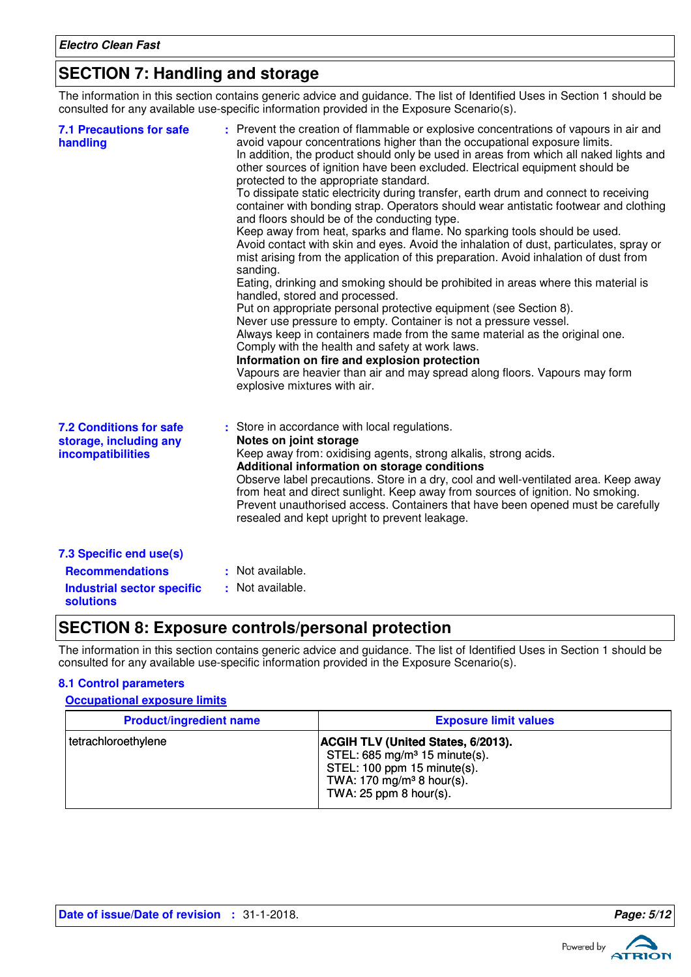# **SECTION 7: Handling and storage**

The information in this section contains generic advice and guidance. The list of Identified Uses in Section 1 should be consulted for any available use-specific information provided in the Exposure Scenario(s).

| <b>7.1 Precautions for safe</b><br>handling                                          | : Prevent the creation of flammable or explosive concentrations of vapours in air and<br>avoid vapour concentrations higher than the occupational exposure limits.<br>In addition, the product should only be used in areas from which all naked lights and<br>other sources of ignition have been excluded. Electrical equipment should be<br>protected to the appropriate standard.<br>To dissipate static electricity during transfer, earth drum and connect to receiving<br>container with bonding strap. Operators should wear antistatic footwear and clothing<br>and floors should be of the conducting type.<br>Keep away from heat, sparks and flame. No sparking tools should be used.<br>Avoid contact with skin and eyes. Avoid the inhalation of dust, particulates, spray or<br>mist arising from the application of this preparation. Avoid inhalation of dust from<br>sanding.<br>Eating, drinking and smoking should be prohibited in areas where this material is<br>handled, stored and processed.<br>Put on appropriate personal protective equipment (see Section 8).<br>Never use pressure to empty. Container is not a pressure vessel.<br>Always keep in containers made from the same material as the original one.<br>Comply with the health and safety at work laws.<br>Information on fire and explosion protection<br>Vapours are heavier than air and may spread along floors. Vapours may form<br>explosive mixtures with air. |
|--------------------------------------------------------------------------------------|----------------------------------------------------------------------------------------------------------------------------------------------------------------------------------------------------------------------------------------------------------------------------------------------------------------------------------------------------------------------------------------------------------------------------------------------------------------------------------------------------------------------------------------------------------------------------------------------------------------------------------------------------------------------------------------------------------------------------------------------------------------------------------------------------------------------------------------------------------------------------------------------------------------------------------------------------------------------------------------------------------------------------------------------------------------------------------------------------------------------------------------------------------------------------------------------------------------------------------------------------------------------------------------------------------------------------------------------------------------------------------------------------------------------------------------------------------------|
| <b>7.2 Conditions for safe</b><br>storage, including any<br><b>incompatibilities</b> | : Store in accordance with local regulations.<br>Notes on joint storage<br>Keep away from: oxidising agents, strong alkalis, strong acids.<br>Additional information on storage conditions<br>Observe label precautions. Store in a dry, cool and well-ventilated area. Keep away<br>from heat and direct sunlight. Keep away from sources of ignition. No smoking.<br>Prevent unauthorised access. Containers that have been opened must be carefully<br>resealed and kept upright to prevent leakage.                                                                                                                                                                                                                                                                                                                                                                                                                                                                                                                                                                                                                                                                                                                                                                                                                                                                                                                                                        |
| 7.3 Specific end use(s)                                                              |                                                                                                                                                                                                                                                                                                                                                                                                                                                                                                                                                                                                                                                                                                                                                                                                                                                                                                                                                                                                                                                                                                                                                                                                                                                                                                                                                                                                                                                                |
| <b>Recommendations</b>                                                               | : Not available.                                                                                                                                                                                                                                                                                                                                                                                                                                                                                                                                                                                                                                                                                                                                                                                                                                                                                                                                                                                                                                                                                                                                                                                                                                                                                                                                                                                                                                               |
| <b>Industrial sector specific</b><br><b>solutions</b>                                | : Not available.                                                                                                                                                                                                                                                                                                                                                                                                                                                                                                                                                                                                                                                                                                                                                                                                                                                                                                                                                                                                                                                                                                                                                                                                                                                                                                                                                                                                                                               |

# **SECTION 8: Exposure controls/personal protection**

The information in this section contains generic advice and guidance. The list of Identified Uses in Section 1 should be consulted for any available use-specific information provided in the Exposure Scenario(s).

### **8.1 Control parameters**

### **Occupational exposure limits**

| <b>Product/ingredient name</b> | <b>Exposure limit values</b>                                                                                                                                                              |
|--------------------------------|-------------------------------------------------------------------------------------------------------------------------------------------------------------------------------------------|
| tetrachloroethylene            | <b>ACGIH TLV (United States, 6/2013).</b><br>STEL: $685 \text{ mg/m}^3$ 15 minute(s).<br>STEL: 100 ppm 15 minute(s).<br>TWA: 170 mg/m <sup>3</sup> 8 hour(s).<br>TWA: $25$ ppm 8 hour(s). |

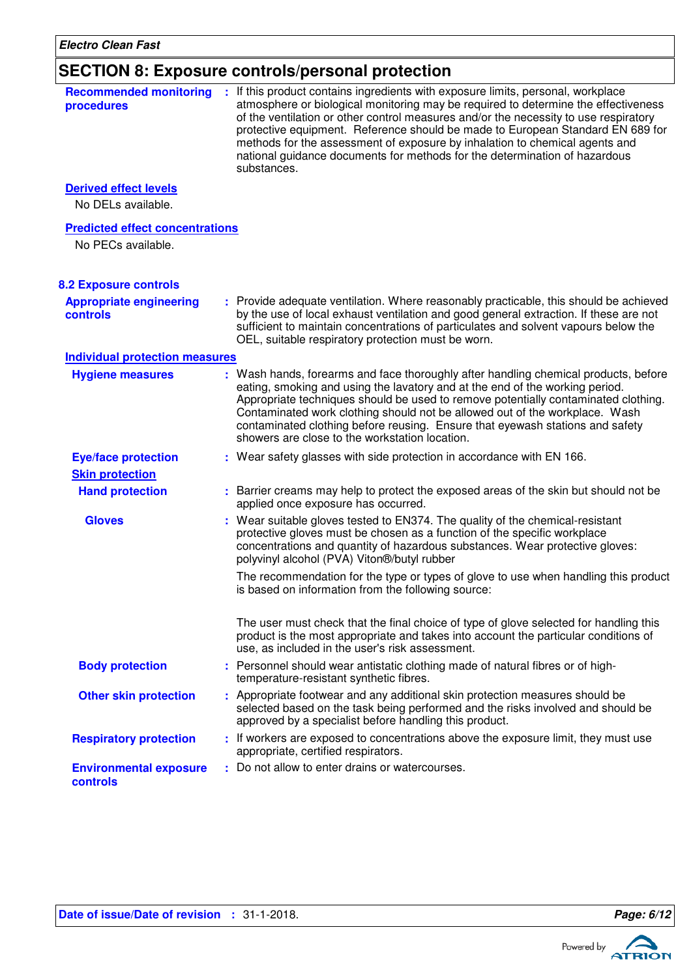# **SECTION 8: Exposure controls/personal protection**

| <b>Recommended monitoring</b><br>procedures                  | : If this product contains ingredients with exposure limits, personal, workplace<br>atmosphere or biological monitoring may be required to determine the effectiveness<br>of the ventilation or other control measures and/or the necessity to use respiratory<br>protective equipment. Reference should be made to European Standard EN 689 for<br>methods for the assessment of exposure by inhalation to chemical agents and<br>national guidance documents for methods for the determination of hazardous<br>substances. |
|--------------------------------------------------------------|------------------------------------------------------------------------------------------------------------------------------------------------------------------------------------------------------------------------------------------------------------------------------------------------------------------------------------------------------------------------------------------------------------------------------------------------------------------------------------------------------------------------------|
| <b>Derived effect levels</b><br>No DELs available.           |                                                                                                                                                                                                                                                                                                                                                                                                                                                                                                                              |
| <b>Predicted effect concentrations</b><br>No PECs available. |                                                                                                                                                                                                                                                                                                                                                                                                                                                                                                                              |
| <b>8.2 Exposure controls</b>                                 |                                                                                                                                                                                                                                                                                                                                                                                                                                                                                                                              |
| <b>Appropriate engineering</b><br><b>controls</b>            | : Provide adequate ventilation. Where reasonably practicable, this should be achieved<br>by the use of local exhaust ventilation and good general extraction. If these are not<br>sufficient to maintain concentrations of particulates and solvent vapours below the<br>OEL, suitable respiratory protection must be worn.                                                                                                                                                                                                  |
| <b>Individual protection measures</b>                        |                                                                                                                                                                                                                                                                                                                                                                                                                                                                                                                              |
| <b>Hygiene measures</b>                                      | : Wash hands, forearms and face thoroughly after handling chemical products, before<br>eating, smoking and using the lavatory and at the end of the working period.<br>Appropriate techniques should be used to remove potentially contaminated clothing.<br>Contaminated work clothing should not be allowed out of the workplace. Wash<br>contaminated clothing before reusing. Ensure that eyewash stations and safety<br>showers are close to the workstation location.                                                  |
| <b>Eye/face protection</b>                                   | : Wear safety glasses with side protection in accordance with EN 166.                                                                                                                                                                                                                                                                                                                                                                                                                                                        |
| <b>Skin protection</b>                                       |                                                                                                                                                                                                                                                                                                                                                                                                                                                                                                                              |
| <b>Hand protection</b>                                       | : Barrier creams may help to protect the exposed areas of the skin but should not be<br>applied once exposure has occurred.                                                                                                                                                                                                                                                                                                                                                                                                  |
| <b>Gloves</b>                                                | : Wear suitable gloves tested to EN374. The quality of the chemical-resistant<br>protective gloves must be chosen as a function of the specific workplace<br>concentrations and quantity of hazardous substances. Wear protective gloves:<br>polyvinyl alcohol (PVA) Viton®/butyl rubber                                                                                                                                                                                                                                     |
|                                                              | The recommendation for the type or types of glove to use when handling this product<br>is based on information from the following source:                                                                                                                                                                                                                                                                                                                                                                                    |
|                                                              | The user must check that the final choice of type of glove selected for handling this<br>product is the most appropriate and takes into account the particular conditions of<br>use, as included in the user's risk assessment.                                                                                                                                                                                                                                                                                              |
| <b>Body protection</b>                                       | : Personnel should wear antistatic clothing made of natural fibres or of high-<br>temperature-resistant synthetic fibres.                                                                                                                                                                                                                                                                                                                                                                                                    |
| <b>Other skin protection</b>                                 | : Appropriate footwear and any additional skin protection measures should be<br>selected based on the task being performed and the risks involved and should be<br>approved by a specialist before handling this product.                                                                                                                                                                                                                                                                                                    |
| <b>Respiratory protection</b>                                | : If workers are exposed to concentrations above the exposure limit, they must use<br>appropriate, certified respirators.                                                                                                                                                                                                                                                                                                                                                                                                    |
| <b>Environmental exposure</b><br>controls                    | : Do not allow to enter drains or watercourses.                                                                                                                                                                                                                                                                                                                                                                                                                                                                              |

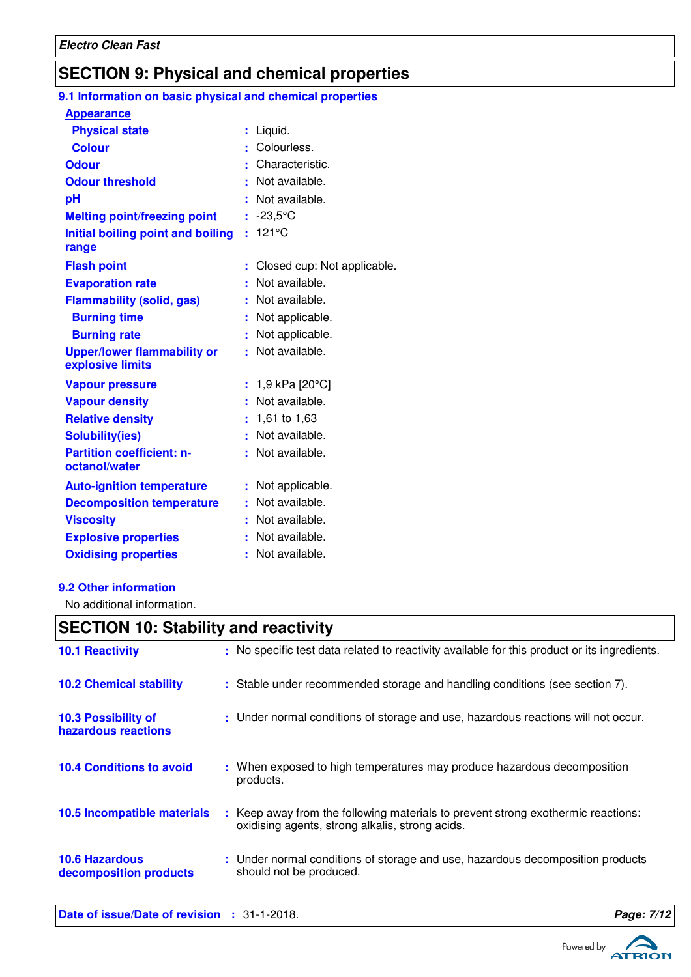# **SECTION 9: Physical and chemical properties**

#### **Initial boiling point and boiling : 121°C Physical state Melting point/freezing point range Vapour pressure Relative density Vapour density Solubility(ies)** Liquid. **:** -23,5°C **:** 1,61 to 1,63 **:** Not available. **:** 1,9 kPa [20°C] **:** Not available. **: Odour** : Characteristic. **pH Colour** Colourless. **Evaporation rate Auto-ignition temperature Flash point** Not applicable. **:** Closed cup: Not applicable. **:** Not available. **:** Not available. **:** Not available. **:** Not available. **: Viscosity Not available. Not available. Odour threshold Partition coefficient: noctanol/water Upper/lower flammability or explosive limits Explosive properties** : Not available. : Not available. **Oxidising properties : Not available. 9.1 Information on basic physical and chemical properties Appearance Burning time** : Not applicable. **Burning rate contract to the CO contract is Not applicable. Decomposition temperature :** Not available. **Flammability (solid, gas) :** Not available.

### **9.2 Other information**

No additional information.

# **SECTION 10: Stability and reactivity**

| <b>10.1 Reactivity</b>                          | : No specific test data related to reactivity available for this product or its ingredients.                                        |
|-------------------------------------------------|-------------------------------------------------------------------------------------------------------------------------------------|
| <b>10.2 Chemical stability</b>                  | : Stable under recommended storage and handling conditions (see section 7).                                                         |
| 10.3 Possibility of<br>hazardous reactions      | : Under normal conditions of storage and use, hazardous reactions will not occur.                                                   |
| <b>10.4 Conditions to avoid</b>                 | : When exposed to high temperatures may produce hazardous decomposition<br>products.                                                |
| 10.5 Incompatible materials                     | : Keep away from the following materials to prevent strong exothermic reactions:<br>oxidising agents, strong alkalis, strong acids. |
| <b>10.6 Hazardous</b><br>decomposition products | : Under normal conditions of storage and use, hazardous decomposition products<br>should not be produced.                           |
|                                                 |                                                                                                                                     |



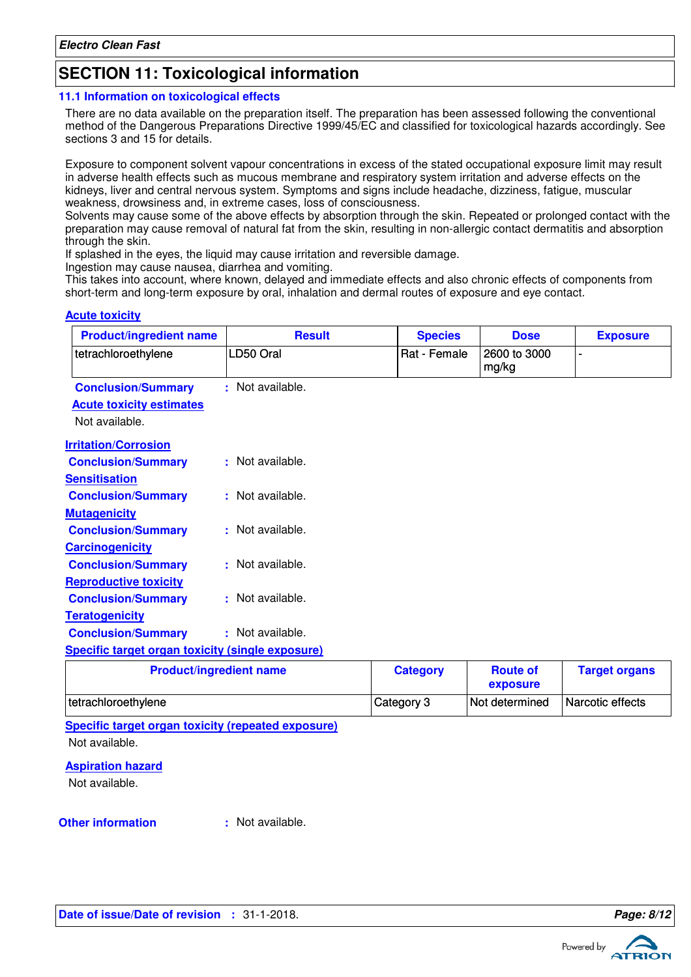# **SECTION 11: Toxicological information**

### **11.1 Information on toxicological effects**

There are no data available on the preparation itself. The preparation has been assessed following the conventional method of the Dangerous Preparations Directive 1999/45/EC and classified for toxicological hazards accordingly. See sections 3 and 15 for details.

Exposure to component solvent vapour concentrations in excess of the stated occupational exposure limit may result in adverse health effects such as mucous membrane and respiratory system irritation and adverse effects on the kidneys, liver and central nervous system. Symptoms and signs include headache, dizziness, fatigue, muscular weakness, drowsiness and, in extreme cases, loss of consciousness.

Solvents may cause some of the above effects by absorption through the skin. Repeated or prolonged contact with the preparation may cause removal of natural fat from the skin, resulting in non-allergic contact dermatitis and absorption through the skin.

If splashed in the eyes, the liquid may cause irritation and reversible damage.

Ingestion may cause nausea, diarrhea and vomiting.

This takes into account, where known, delayed and immediate effects and also chronic effects of components from short-term and long-term exposure by oral, inhalation and dermal routes of exposure and eye contact.

### **Acute toxicity**

| <b>Product/ingredient name</b>                   | <b>Result</b>    | <b>Species</b> | <b>Dose</b>           | <b>Exposure</b> |
|--------------------------------------------------|------------------|----------------|-----------------------|-----------------|
| tetrachloroethylene                              | LD50 Oral        | Rat - Female   | 2600 to 3000<br>mg/kg |                 |
| <b>Conclusion/Summary</b>                        | : Not available. |                |                       |                 |
| <b>Acute toxicity estimates</b>                  |                  |                |                       |                 |
| Not available.                                   |                  |                |                       |                 |
| <b>Irritation/Corrosion</b>                      |                  |                |                       |                 |
| <b>Conclusion/Summary</b>                        | : Not available. |                |                       |                 |
| <b>Sensitisation</b>                             |                  |                |                       |                 |
| <b>Conclusion/Summary</b>                        | : Not available. |                |                       |                 |
| <b>Mutagenicity</b>                              |                  |                |                       |                 |
| <b>Conclusion/Summary</b>                        | : Not available. |                |                       |                 |
| <b>Carcinogenicity</b>                           |                  |                |                       |                 |
| <b>Conclusion/Summary</b>                        | : Not available. |                |                       |                 |
| <b>Reproductive toxicity</b>                     |                  |                |                       |                 |
| <b>Conclusion/Summary</b>                        | : Not available. |                |                       |                 |
| <b>Teratogenicity</b>                            |                  |                |                       |                 |
| <b>Conclusion/Summary</b>                        | : Not available. |                |                       |                 |
| Specific target organ toxicity (single exposure) |                  |                |                       |                 |
| <b>Droduct/ingradiant name</b>                   |                  | Catogony       | <b>Doute of</b>       | Tornat ornane   |

| <b>Product/ingredient name</b> | <b>Category</b> | <b>Route of</b><br>exposure | <b>Target organs</b> |
|--------------------------------|-----------------|-----------------------------|----------------------|
| tetrachloroethylene            | Category 3      | Not determined              | Narcotic effects     |

**Specific target organ toxicity (repeated exposure)** Not available.

### **Aspiration hazard**

Not available.

### **Other information :**

: Not available.

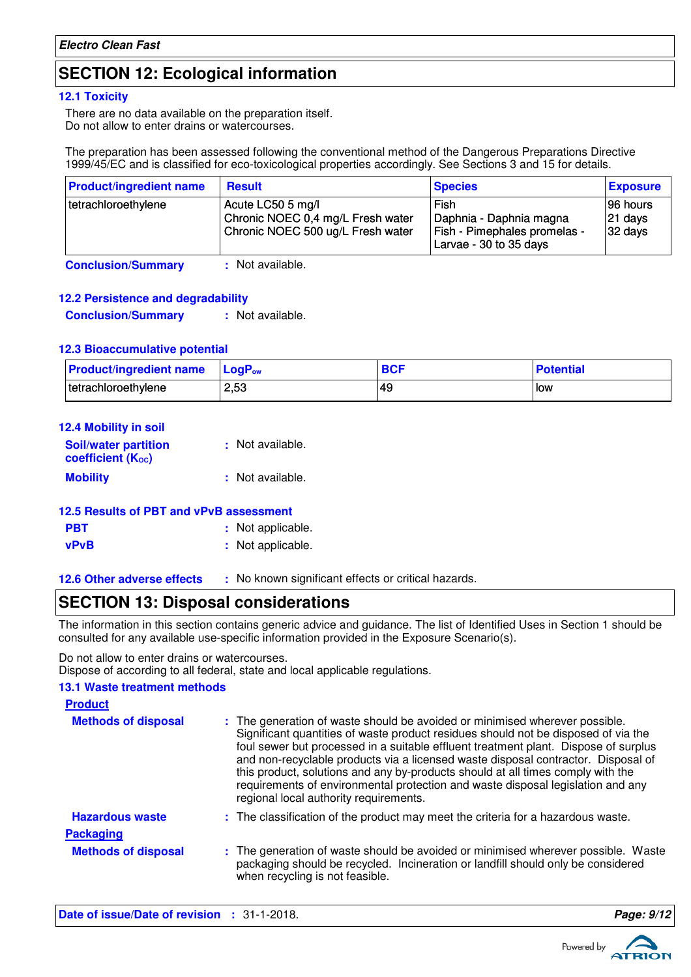# **SECTION 12: Ecological information**

### **12.1 Toxicity**

There are no data available on the preparation itself. Do not allow to enter drains or watercourses.

The preparation has been assessed following the conventional method of the Dangerous Preparations Directive 1999/45/EC and is classified for eco-toxicological properties accordingly. See Sections 3 and 15 for details.

| <b>Product/ingredient name</b> | <b>Result</b>                                                                               | <b>Species</b>                                                                            | <b>Exposure</b>                                |
|--------------------------------|---------------------------------------------------------------------------------------------|-------------------------------------------------------------------------------------------|------------------------------------------------|
| tetrachloroethylene            | Acute LC50 5 mg/l<br>Chronic NOEC 0,4 mg/L Fresh water<br>Chronic NOEC 500 ug/L Fresh water | Fish<br>Daphnia - Daphnia magna<br>Fish - Pimephales promelas -<br>Larvae - 30 to 35 days | 196 hours<br>$ 21$ days<br>$ 32 \text{ days} $ |

**Conclusion/Summary :** Not available.

### **12.2 Persistence and degradability**

**Conclusion/Summary :** Not available.

### **12.3 Bioaccumulative potential**

| <b>Product/ingredient name</b> | <b>LogP</b> <sub>ow</sub> | <b>DOC</b><br>DU) | <b>Potential</b> |
|--------------------------------|---------------------------|-------------------|------------------|
| I tetrachloroethylene          | 2,53                      | 49                | low              |

| 12.4 Mobility in soil                            |                  |
|--------------------------------------------------|------------------|
| <b>Soil/water partition</b><br>coefficient (Koc) | : Not available. |
| <b>Mobility</b>                                  | : Not available. |

| 12.5 Results of PBT and vPvB assessment |                   |
|-----------------------------------------|-------------------|
| <b>PBT</b>                              | : Not applicable. |
| <b>vPvB</b>                             | : Not applicable. |

**12.6 Other adverse effects** : No known significant effects or critical hazards.

# **SECTION 13: Disposal considerations**

The information in this section contains generic advice and guidance. The list of Identified Uses in Section 1 should be consulted for any available use-specific information provided in the Exposure Scenario(s).

Do not allow to enter drains or watercourses.

Dispose of according to all federal, state and local applicable regulations.

### **13.1 Waste treatment methods**

| <b>Product</b>             |                                                                                                                                                                                                                                                                                                                                                                                                                                                                                                                                                               |
|----------------------------|---------------------------------------------------------------------------------------------------------------------------------------------------------------------------------------------------------------------------------------------------------------------------------------------------------------------------------------------------------------------------------------------------------------------------------------------------------------------------------------------------------------------------------------------------------------|
| <b>Methods of disposal</b> | : The generation of waste should be avoided or minimised wherever possible.<br>Significant quantities of waste product residues should not be disposed of via the<br>foul sewer but processed in a suitable effluent treatment plant. Dispose of surplus<br>and non-recyclable products via a licensed waste disposal contractor. Disposal of<br>this product, solutions and any by-products should at all times comply with the<br>requirements of environmental protection and waste disposal legislation and any<br>regional local authority requirements. |
| <b>Hazardous waste</b>     | : The classification of the product may meet the criteria for a hazardous waste.                                                                                                                                                                                                                                                                                                                                                                                                                                                                              |
| <b>Packaging</b>           |                                                                                                                                                                                                                                                                                                                                                                                                                                                                                                                                                               |
| <b>Methods of disposal</b> | : The generation of waste should be avoided or minimised wherever possible. Waste<br>packaging should be recycled. Incineration or landfill should only be considered<br>when recycling is not feasible.                                                                                                                                                                                                                                                                                                                                                      |

**Date of issue/Date of revision :** 31-1-2018. **Page: 9/12**

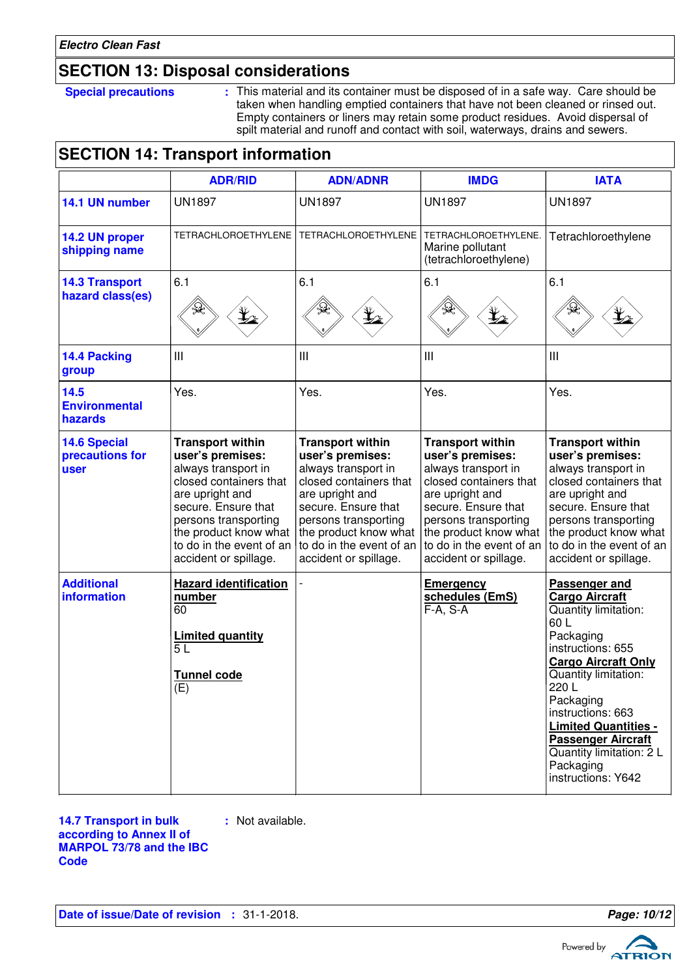# **SECTION 13: Disposal considerations**

**Special precautions :** This material and its container must be disposed of in a safe way. Care should be taken when handling emptied containers that have not been cleaned or rinsed out. Empty containers or liners may retain some product residues. Avoid dispersal of spilt material and runoff and contact with soil, waterways, drains and sewers.

# **SECTION 14: Transport information**

|                                                | <b>ADR/RID</b>                                                                                                                                                                                                                               | <b>ADN/ADNR</b>                                                                                                                                                                                                                              | <b>IMDG</b>                                                                                                                                                                                                                                  | <b>IATA</b>                                                                                                                                                                                                                                                                                                                                |
|------------------------------------------------|----------------------------------------------------------------------------------------------------------------------------------------------------------------------------------------------------------------------------------------------|----------------------------------------------------------------------------------------------------------------------------------------------------------------------------------------------------------------------------------------------|----------------------------------------------------------------------------------------------------------------------------------------------------------------------------------------------------------------------------------------------|--------------------------------------------------------------------------------------------------------------------------------------------------------------------------------------------------------------------------------------------------------------------------------------------------------------------------------------------|
| 14.1 UN number                                 | <b>UN1897</b>                                                                                                                                                                                                                                | <b>UN1897</b>                                                                                                                                                                                                                                | <b>UN1897</b>                                                                                                                                                                                                                                | <b>UN1897</b>                                                                                                                                                                                                                                                                                                                              |
| 14.2 UN proper<br>shipping name                | <b>TETRACHLOROETHYLENE</b>                                                                                                                                                                                                                   | <b>TETRACHLOROETHYLENE</b>                                                                                                                                                                                                                   | TETRACHLOROETHYLENE.<br>Marine pollutant<br>(tetrachloroethylene)                                                                                                                                                                            | Tetrachloroethylene                                                                                                                                                                                                                                                                                                                        |
| <b>14.3 Transport</b><br>hazard class(es)      | 6.1                                                                                                                                                                                                                                          | 6.1                                                                                                                                                                                                                                          | 6.1                                                                                                                                                                                                                                          | 6.1                                                                                                                                                                                                                                                                                                                                        |
| 14.4 Packing<br>group                          | Ш                                                                                                                                                                                                                                            | III                                                                                                                                                                                                                                          | III                                                                                                                                                                                                                                          | Ш                                                                                                                                                                                                                                                                                                                                          |
| 14.5<br><b>Environmental</b><br>hazards        | Yes.                                                                                                                                                                                                                                         | Yes.                                                                                                                                                                                                                                         | Yes.                                                                                                                                                                                                                                         | Yes.                                                                                                                                                                                                                                                                                                                                       |
| <b>14.6 Special</b><br>precautions for<br>user | <b>Transport within</b><br>user's premises:<br>always transport in<br>closed containers that<br>are upright and<br>secure. Ensure that<br>persons transporting<br>the product know what<br>to do in the event of an<br>accident or spillage. | <b>Transport within</b><br>user's premises:<br>always transport in<br>closed containers that<br>are upright and<br>secure. Ensure that<br>persons transporting<br>the product know what<br>to do in the event of an<br>accident or spillage. | <b>Transport within</b><br>user's premises:<br>always transport in<br>closed containers that<br>are upright and<br>secure. Ensure that<br>persons transporting<br>the product know what<br>to do in the event of an<br>accident or spillage. | <b>Transport within</b><br>user's premises:<br>always transport in<br>closed containers that<br>are upright and<br>secure. Ensure that<br>persons transporting<br>the product know what<br>to do in the event of an<br>accident or spillage.                                                                                               |
| <b>Additional</b><br>information               | <b>Hazard identification</b><br>number<br>60<br><b>Limited quantity</b><br>5L<br>Tunnel code<br>(E)                                                                                                                                          |                                                                                                                                                                                                                                              | <b>Emergency</b><br>schedules (EmS)<br>$F-A, S-A$                                                                                                                                                                                            | <b>Passenger and</b><br><b>Cargo Aircraft</b><br>Quantity limitation:<br>60L<br>Packaging<br>instructions: 655<br><b>Cargo Aircraft Only</b><br>Quantity limitation:<br>220 L<br>Packaging<br>instructions: 663<br><b>Limited Quantities -</b><br><b>Passenger Aircraft</b><br>Quantity limitation: 2 L<br>Packaging<br>instructions: Y642 |

**14.7 Transport in bulk according to Annex II of MARPOL 73/78 and the IBC Code :** Not available.

**Date of issue/Date of revision :** 31-1-2018. **Page: 10/12 Page: 10/12** 

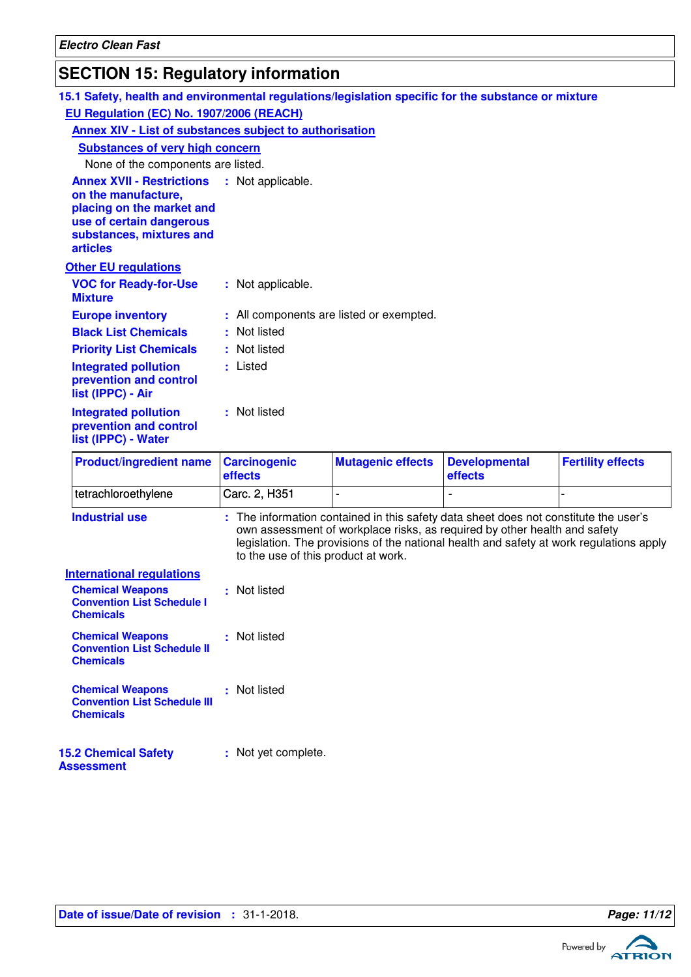# **SECTION 15: Regulatory information**

| $\overline{O}$ . $\overline{O}$ , $\overline{O}$ , $\overline{O}$ , $\overline{O}$ , $\overline{O}$ , $\overline{O}$ , $\overline{O}$ , $\overline{O}$ , $\overline{O}$ , $\overline{O}$ , $\overline{O}$ , $\overline{O}$ , $\overline{O}$ , $\overline{O}$ , $\overline{O}$ , $\overline{O}$ , $\overline{O}$ , $\overline{O}$ , $\overline{O}$ , |                                     |                                          |                                                                                                                                                                                                                                                              |                          |
|-----------------------------------------------------------------------------------------------------------------------------------------------------------------------------------------------------------------------------------------------------------------------------------------------------------------------------------------------------|-------------------------------------|------------------------------------------|--------------------------------------------------------------------------------------------------------------------------------------------------------------------------------------------------------------------------------------------------------------|--------------------------|
| 15.1 Safety, health and environmental regulations/legislation specific for the substance or mixture                                                                                                                                                                                                                                                 |                                     |                                          |                                                                                                                                                                                                                                                              |                          |
| EU Regulation (EC) No. 1907/2006 (REACH)                                                                                                                                                                                                                                                                                                            |                                     |                                          |                                                                                                                                                                                                                                                              |                          |
| Annex XIV - List of substances subject to authorisation                                                                                                                                                                                                                                                                                             |                                     |                                          |                                                                                                                                                                                                                                                              |                          |
| <b>Substances of very high concern</b>                                                                                                                                                                                                                                                                                                              |                                     |                                          |                                                                                                                                                                                                                                                              |                          |
| None of the components are listed.                                                                                                                                                                                                                                                                                                                  |                                     |                                          |                                                                                                                                                                                                                                                              |                          |
| <b>Annex XVII - Restrictions</b><br>on the manufacture,<br>placing on the market and<br>use of certain dangerous<br>substances, mixtures and<br><b>articles</b>                                                                                                                                                                                     | : Not applicable.                   |                                          |                                                                                                                                                                                                                                                              |                          |
| <b>Other EU regulations</b>                                                                                                                                                                                                                                                                                                                         |                                     |                                          |                                                                                                                                                                                                                                                              |                          |
| <b>VOC for Ready-for-Use</b><br><b>Mixture</b>                                                                                                                                                                                                                                                                                                      | : Not applicable.                   |                                          |                                                                                                                                                                                                                                                              |                          |
| <b>Europe inventory</b>                                                                                                                                                                                                                                                                                                                             |                                     | : All components are listed or exempted. |                                                                                                                                                                                                                                                              |                          |
| <b>Black List Chemicals</b>                                                                                                                                                                                                                                                                                                                         | : Not listed                        |                                          |                                                                                                                                                                                                                                                              |                          |
| <b>Priority List Chemicals</b>                                                                                                                                                                                                                                                                                                                      | : Not listed                        |                                          |                                                                                                                                                                                                                                                              |                          |
| <b>Integrated pollution</b><br>prevention and control<br>list (IPPC) - Air                                                                                                                                                                                                                                                                          | : Listed                            |                                          |                                                                                                                                                                                                                                                              |                          |
| <b>Integrated pollution</b><br>prevention and control<br>list (IPPC) - Water                                                                                                                                                                                                                                                                        | : Not listed                        |                                          |                                                                                                                                                                                                                                                              |                          |
| <b>Product/ingredient name</b>                                                                                                                                                                                                                                                                                                                      | <b>Carcinogenic</b><br>effects      | <b>Mutagenic effects</b>                 | <b>Developmental</b><br>effects                                                                                                                                                                                                                              | <b>Fertility effects</b> |
| tetrachloroethylene                                                                                                                                                                                                                                                                                                                                 | Carc. 2, H351                       | $\overline{\phantom{0}}$                 |                                                                                                                                                                                                                                                              |                          |
| <b>Industrial use</b>                                                                                                                                                                                                                                                                                                                               | to the use of this product at work. |                                          | : The information contained in this safety data sheet does not constitute the user's<br>own assessment of workplace risks, as required by other health and safety<br>legislation. The provisions of the national health and safety at work regulations apply |                          |
| <b>International regulations</b>                                                                                                                                                                                                                                                                                                                    |                                     |                                          |                                                                                                                                                                                                                                                              |                          |
| <b>Chemical Weapons</b><br><b>Convention List Schedule I</b><br><b>Chemicals</b>                                                                                                                                                                                                                                                                    | : Not listed                        |                                          |                                                                                                                                                                                                                                                              |                          |
| <b>Chemical Weapons</b><br><b>Convention List Schedule II</b><br><b>Chemicals</b>                                                                                                                                                                                                                                                                   | : Not listed                        |                                          |                                                                                                                                                                                                                                                              |                          |
| <b>Chemical Weapons</b><br><b>Convention List Schedule III</b><br><b>Chemicals</b>                                                                                                                                                                                                                                                                  | : Not listed                        |                                          |                                                                                                                                                                                                                                                              |                          |
| <b>15.2 Chemical Safety</b>                                                                                                                                                                                                                                                                                                                         | : Not yet complete.                 |                                          |                                                                                                                                                                                                                                                              |                          |

**Assessment**